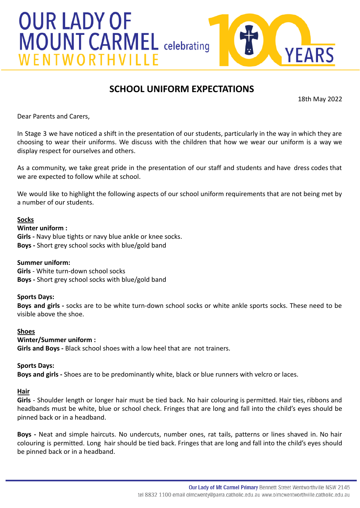

# **SCHOOL UNIFORM EXPECTATIONS**

18th May 2022

Dear Parents and Carers,

In Stage 3 we have noticed a shift in the presentation of our students, particularly in the way in which they are choosing to wear their uniforms. We discuss with the children that how we wear our uniform is a way we display respect for ourselves and others.

As a community, we take great pride in the presentation of our staff and students and have dress codes that we are expected to follow while at school.

We would like to highlight the following aspects of our school uniform requirements that are not being met by a number of our students.

## **Socks**

## **Winter uniform :**

**Girls -** Navy blue tights or navy blue ankle or knee socks. **Boys -** Short grey school socks with blue/gold band

## **Summer uniform:**

**Girls** - White turn-down school socks **Boys -** Short grey school socks with blue/gold band

## **Sports Days:**

**Boys and girls -** socks are to be white turn-down school socks or white ankle sports socks. These need to be visible above the shoe.

#### **Shoes**

# **Winter/Summer uniform :**

**Girls and Boys -** Black school shoes with a low heel that are not trainers.

## **Sports Days:**

**Boys and girls -** Shoes are to be predominantly white, black or blue runners with velcro or laces.

## **Hair**

**Girls** - Shoulder length or longer hair must be tied back. No hair colouring is permitted. Hair ties, ribbons and headbands must be white, blue or school check. Fringes that are long and fall into the child's eyes should be pinned back or in a headband.

**Boys -** Neat and simple haircuts. No undercuts, number ones, rat tails, patterns or lines shaved in. No hair colouring is permitted. Long hair should be tied back. Fringes that are long and fall into the child's eyes should be pinned back or in a headband.